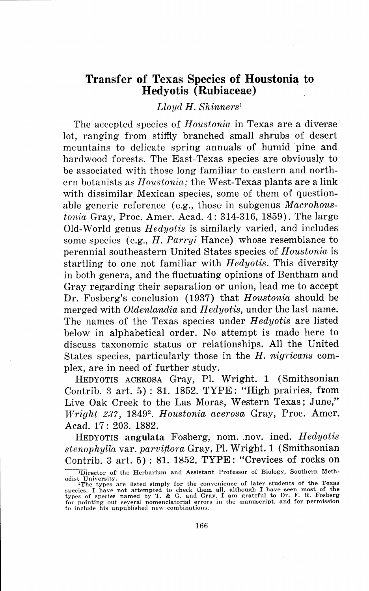## **Transfer of Texas Species of Houstonia to**<br>Hedyotis (Rubiaceae)

*Lloyd H. Shinners <sup>1</sup>*

The accepted species of *Houstonia* in Texas are a diverse lot, ranging from stiffly branched small shrubs of desert mcuntains to delicate spring annuals of humid pine and hardwood forests. The East-Texas species are obviously to be associated with those long familiar to eastern and northern botanists as *Houstonia;* the West-Texas plants are a link with dissimilar Mexican species, some of them of questionable generic reference (e.g., those in subgenus *Macrohoustonia* Gray, Proc. Amer. Acad. 4: 314-316, 1859). The large Old-World genus *Hedyotis* is similarly varied, and includes some species (e.g., *H. Parryi* Hance) whose resemblance to perennial southeastern United States species of *Houstonia* is startling to one not familiar with *Hedyotis.* This diversity in both genera, and the fluctuating opinions of Bentham and Gray regarding their separation or union, lead me to accept Dr. Fosberg's conclusion (1937) that *Houstonia* should be merged with *Oldenlandia* and *Hedyotis*, under the last name. The names of the Texas species under *Hedyotis* are listed below in alphabetical order. No attempt is made here to discuss taxonomic status or relationships. All the United States species, particularly those in the *H. nigricans* complex, are in need of further study.

HEDY0TIS ACER0SA Gray, Pl. Wright. 1 (Smithsonian Contrib. 3 art.  $5$ ): 81. 1852. TYPE: "High prairies, from Live Oak Creek to the Las Moras, Western Texas; June," *Wright 237, 1849<sup>2</sup>. Houstonia acerosa Gray, Proc. Amer.* Acad. 17: 203. 1882.

HEDY0TIS **angulata** Fosberg, nom .. nov. ined. *H edyotis stenophylla* var. *parvifiora* Gray, Pl. Wright. 1 (Smithsonian Contrib. 3 art. 5) : 81. 1852. TYPE: "Crevices of rocks on

<sup>&</sup>lt;sup>1</sup>Director of the Herbarium and Assistant Professor of Biology, Southern Meth-

odist University.<br>
"The types are listed simply for the convenience of later students of the Texas<br>
species. I have not attempted to check them all, although I have seen most of the<br>
types of species named by T. & G. and G to include his unpublished new combinations.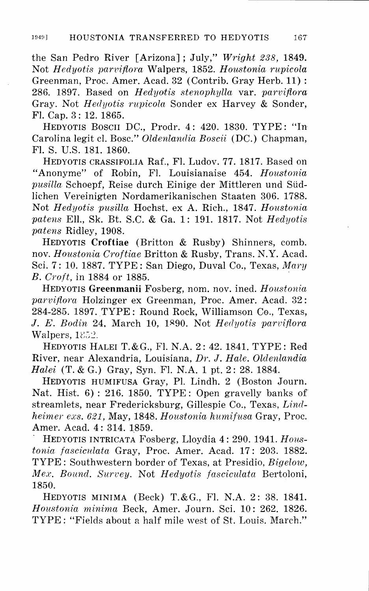the San Pedro River [Arizona] ; July," *Wright 238,* 1849. Not *Hedyotis pan,ifiora* Walpers, 1852. *Houstonia rupicola*  Greenman, Proc. Amer. Acad. 32 (Contrib. Gray Herb. 11): 286. 1897. Based on *Hedyotis stenophylla* var. *parvifiora*  Gray. Not *Hedyotis rupicola* Sonder ex Harvey & Sonder, Fl. Cap. 3: 12. 1865.

HEDY0TIS Bosen DC., Prodr. 4: 420. 1830. TYPE: "In Carolina legit cl. Bose." *Oldenlandia Boscii* (DC.) Chapman, FI. S. U.S. 181. 1860.

HEDY0TIS CRASSIF0LIA Raf., Fl. Ludov. 77. 1817. Based on "Anonyme" of Robin, Fl. Louisianaise 454. *Houstonia pusilla* Schoepf, Reise durch Einige der Mittleren und Sudlichen Vereinigten Nordamerikanischen Staaten 306. 1788. Not *Hedyotis pusilla* Hochst. ex A. Rich., 1847. *Houstonia patens* Ell., Sk. Bt. S.C. & Ga. 1: 191. 1817. Not *Hedyotis patens* Ridley, 1908.

HEDY0TIS **Croftiae** (Britton & Rushy) Shinners, comb. nov. *Houstonia Croftiae* Britton & Rushy, Trans. N.Y. Acad. Sci. 7: 10. 1887. TYPE: San Diego, Duval Co., Texas, *Mary B. Croft, in 1884 or 1885.* 

HEDY0TIS **Greenmanii** Fosberg, nom. nov. ined. *Houstonia parvifiora* Holzinger ex Greenman, Proc. Amer. Acad. 32: 284-285. 1897. TYPE: Round Rock, Williamson C0., Texas, J. E. *Bodin* 24, March 10, 1><90. Not *Herlyotis parvifiora*  Walpers, 1852.

HEDY0TIS HALEI T.&G., FI. N.A. 2: 42. 1841. TYPE: Red River, near Alexandria, Louisiana, *Dr.* J. *Hale. Olclenlandia Halei* (T. & G.) Gray, Syn. FI. N.A. 1 pt. 2: 28. 1884.

HEDY0TIS HUMIFUSA Gray, PI. Lindh. 2 (Boston Journ. Nat. Hist. 6) : 216. 1850. TYPE: Open gravelly banks of streamlets, near Fredericksburg, Gillespie Co., Texas, *Lindheimer exs. 621,* May, 1848. *Houstonia humifusa* Gray, Proc. Amer. Acad. 4: 314. 1859.

. HEDY0TIS INTRICATA Fosberg, Lloydia 4: 290. 1941. *Houstonia fasciculata* Gray, Proc. Amer. Acad. 17: 203. 1882. TYPE: Southwestern border of Texas, at Presidio, *Bigelow, Me.1;. Bound. Survey.* Not *Hedyotis fasciculata* Bertoloni, 1850.

HEDY0TIS MINIMA (Beck) T.&G., FI. N.A. 2: 38. 1841. *Houstonia minima* Beck, Amer. Journ. Sci. 10: 262. 1826. TYPE : "Fields about a half mile west of St. Louis. March."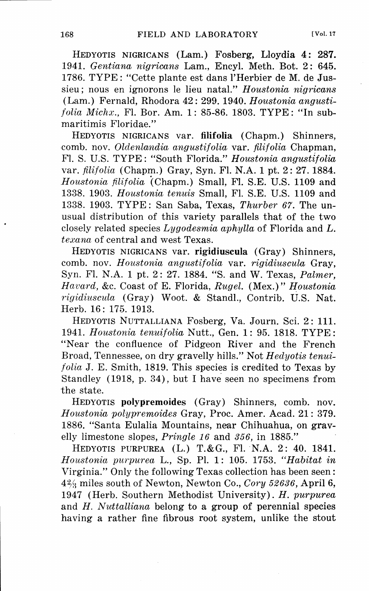HEDY0TIS NIGRICANS (Lam.) Fosberg, Lloydia 4: **287.**  1941. *Gentiana, nigricans* Lam., Encyl. Meth. Bot. 2: 645. 1786. TYPE: "Cette plante est dans l'Herbier de M. de Jussieu; nous en ignorons le lieu natal." *Houstonia nigricans*  (Lam.) Fernald, Rhodora 42: 299. 1940. *Horustonia angustifolia Michx.,* Fl. Bor. Am. 1: 85-86. 1803. TYPE: "In submaritimis Floridae."

HEDY0TIS NIGRICANS var. **filifolia** (Chapm.) Shinners, comb. nov. *Oldenlandia angustifolia* var. *filifolia* Chapman, FI. S. U.S. TYPE: "South Florida." *Houstonia angustifolia*  var. *filifolia* (Chapm.) Gray, Syn. Fl. N.A. 1 pt. 2: 27. 1884. *Houstonia filifolia* (Chapm.) Small, Fl. S.E. U.S. 1109 and 1338. 1903. *Houstonia tenuis* Small, Fl. S.E. U.S. 1109 and 1338. 1903. TYPE : San Saba, Texas, *Thurber 67.* The unusual distribution of this variety parallels that of the two closely related species *Lygodesmia aphylla* of Florida and *L. texana* of central and west Texas.

HEDY0TIS NIGRICANS var. **rigidiuscula** (Gray) Shinners, comb. nov. *Houstonia angustifolia* var. *rigidiuscula* Gray, Syn. Fl. N.A. 1 pt. 2: 27. 1884. "S. and W. Texas, *Palmer, Havard,* &c. Coast of E. Florida, *Rugel.* (Mex.)" *Houstonia rigidiuscula* (Gray) Woot. & Stand!., Contrib. U.S. Nat. Herb. 16: 175. 1913.

HEDY0TIS NUTTALLIANA Fosberg, Va. Journ. Sci. 2: 111. 1941. *Houstonia tenuifolia* Nutt., Gen. 1: 95. 1818. TYPE: "Near the confluence of Pidgeon River and the French Broad, Tennessee, on dry gravelly hills." Not *Hedyotis tenuifolia* J. E. Smith, 1819. This species is credited to Texas by Standley (1918, p. 34), but I have seen no specimens from the state.

HEDY0TIS **polypremoides** (Gray) Shinners, comb. nov. *Houstonia polypremoides* Gray, Proc. Amer. Acad. 21: 379. 1886. "Santa Eulalia Mountains, near Chihuahua, on gravelly limestone slopes, *Pringle 16* and *356,* in 1885."

HEDY0TIS PURPUREA (L.) T.&G., Fl. N.A. 2: 40. 1841. *Houstonia purpurea* L., Sp. Pl. 1: 105. 1753. *"Habitat in*  Virginia." Only the following Texas collection has been seen: 4:2/i miles south of Newton, Newton Co., *Cory 52636,* April 6, 1947 (Herb. Southern Methodist University). *H. purpurea*  and *H. Nuttalliana* belong to a group of perennial species having a rather fine fibrous root system, unlike the stout